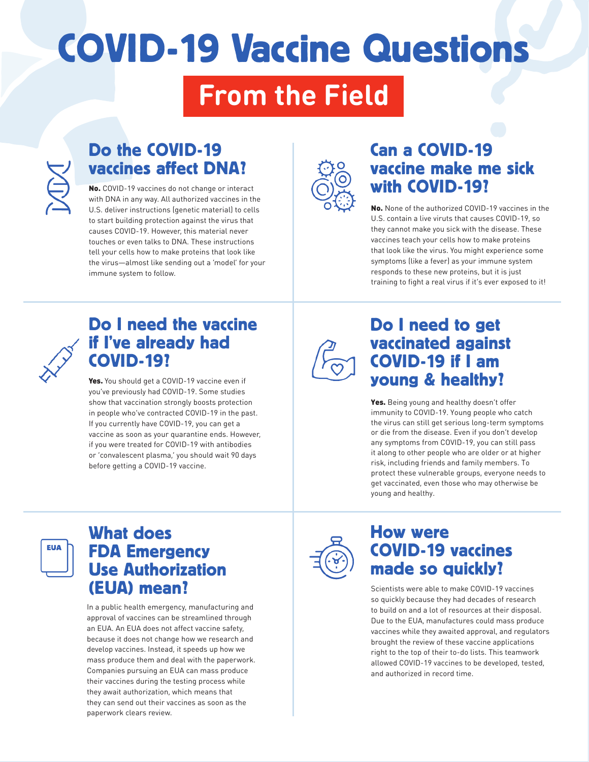# COVID-19 Vaccine Questions

## **From the Field**



### Do the COVID-19 vaccines affect DNA?

No. COVID-19 vaccines do not change or interact with DNA in any way. All authorized vaccines in the U.S. deliver instructions (genetic material) to cells to start building protection against the virus that causes COVID-19. However, this material never touches or even talks to DNA. These instructions tell your cells how to make proteins that look like the virus—almost like sending out a 'model' for your immune system to follow.



#### Can a COVID-19 vaccine make me sick with COVID-19?

No. None of the authorized COVID-19 vaccines in the U.S. contain a live viruts that causes COVID-19, so they cannot make you sick with the disease. These vaccines teach your cells how to make proteins that look like the virus. You might experience some symptoms (like a fever) as your immune system responds to these new proteins, but it is just training to fight a real virus if it's ever exposed to it!



#### Do I need the vaccine if I've already had COVID-19?

Yes. You should get a COVID-19 vaccine even if you've previously had COVID-19. Some studies show that vaccination strongly boosts protection in people who've contracted COVID-19 in the past. If you currently have COVID-19, you can get a vaccine as soon as your quarantine ends. However, if you were treated for COVID-19 with antibodies or 'convalescent plasma,' you should wait 90 days before getting a COVID-19 vaccine.

#### Do I need to get vaccinated against COVID-19 if I am young & healthy?

Yes. Being young and healthy doesn't offer immunity to COVID-19. Young people who catch the virus can still get serious long-term symptoms or die from the disease. Even if you don't develop any symptoms from COVID-19, you can still pass it along to other people who are older or at higher risk, including friends and family members. To protect these vulnerable groups, everyone needs to get vaccinated, even those who may otherwise be young and healthy.



#### What does FDA Emergency Use Authorization (EUA) mean?

In a public health emergency, manufacturing and approval of vaccines can be streamlined through an EUA. An EUA does not affect vaccine safety, because it does not change how we research and develop vaccines. Instead, it speeds up how we mass produce them and deal with the paperwork. Companies pursuing an EUA can mass produce their vaccines during the testing process while they await authorization, which means that they can send out their vaccines as soon as the paperwork clears review.



#### How were COVID-19 vaccines made so quickly?

Scientists were able to make COVID-19 vaccines so quickly because they had decades of research to build on and a lot of resources at their disposal. Due to the EUA, manufactures could mass produce vaccines while they awaited approval, and regulators brought the review of these vaccine applications right to the top of their to-do lists. This teamwork allowed COVID-19 vaccines to be developed, tested, and authorized in record time.